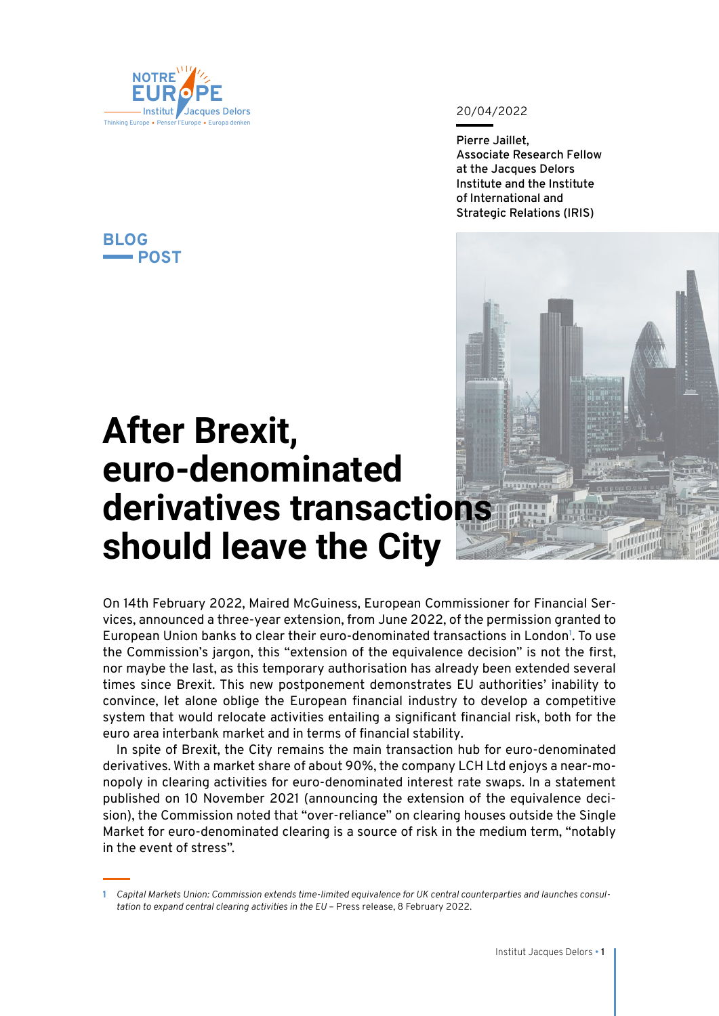

**BLOG**

**POST**

20/04/2022

**Pierre Jaillet, Associate Research Fellow at the Jacques Delors Institute and the Institute of International and Strategic Relations (IRIS)**



## **After Brexit, euro-denominated derivatives transactions should leave the City**

On 14th February 2022, Maired McGuiness, European Commissioner for Financial Services, announced a three-year extension, from June 2022, of the permission granted to European Union banks to clear their euro-denominated transactions in London**<sup>1</sup>** . To use the Commission's jargon, this "extension of the equivalence decision" is not the first, nor maybe the last, as this temporary authorisation has already been extended several times since Brexit. This new postponement demonstrates EU authorities' inability to convince, let alone oblige the European financial industry to develop a competitive system that would relocate activities entailing a significant financial risk, both for the euro area interbank market and in terms of financial stability.

In spite of Brexit, the City remains the main transaction hub for euro-denominated derivatives. With a market share of about 90%, the company LCH Ltd enjoys a near-monopoly in clearing activities for euro-denominated interest rate swaps. In a statement published on 10 November 2021 (announcing the extension of the equivalence decision), the Commission noted that "over-reliance" on clearing houses outside the Single Market for euro-denominated clearing is a source of risk in the medium term, "notably in the event of stress".

**<sup>1</sup>** *Capital Markets Union: Commission extends time-limited equivalence for UK central counterparties and launches consultation to expand central clearing activities in the EU* – Press release, 8 February 2022.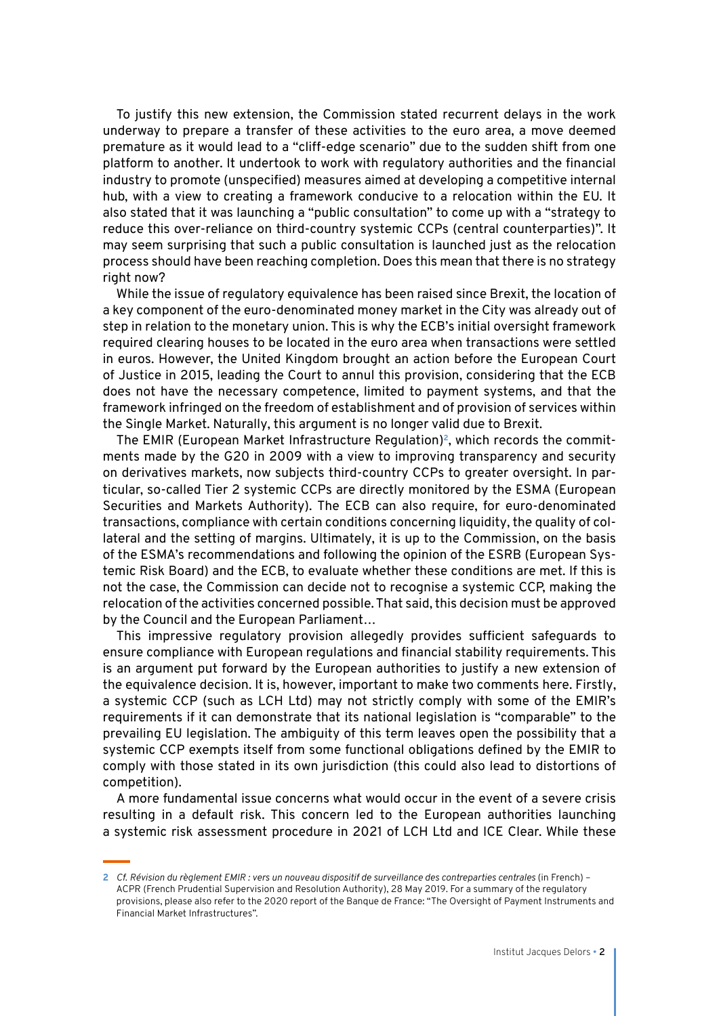To justify this new extension, the Commission stated recurrent delays in the work underway to prepare a transfer of these activities to the euro area, a move deemed premature as it would lead to a "cliff-edge scenario" due to the sudden shift from one platform to another. It undertook to work with regulatory authorities and the financial industry to promote (unspecified) measures aimed at developing a competitive internal hub, with a view to creating a framework conducive to a relocation within the EU. It also stated that it was launching a "public consultation" to come up with a "strategy to reduce this over-reliance on third-country systemic CCPs (central counterparties)". It may seem surprising that such a public consultation is launched just as the relocation process should have been reaching completion. Does this mean that there is no strategy right now?

While the issue of regulatory equivalence has been raised since Brexit, the location of a key component of the euro-denominated money market in the City was already out of step in relation to the monetary union. This is why the ECB's initial oversight framework required clearing houses to be located in the euro area when transactions were settled in euros. However, the United Kingdom brought an action before the European Court of Justice in 2015, leading the Court to annul this provision, considering that the ECB does not have the necessary competence, limited to payment systems, and that the framework infringed on the freedom of establishment and of provision of services within the Single Market. Naturally, this argument is no longer valid due to Brexit.

The EMIR (European Market Infrastructure Regulation)**2**, which records the commitments made by the G20 in 2009 with a view to improving transparency and security on derivatives markets, now subjects third-country CCPs to greater oversight. In particular, so-called Tier 2 systemic CCPs are directly monitored by the ESMA (European Securities and Markets Authority). The ECB can also require, for euro-denominated transactions, compliance with certain conditions concerning liquidity, the quality of collateral and the setting of margins. Ultimately, it is up to the Commission, on the basis of the ESMA's recommendations and following the opinion of the ESRB (European Systemic Risk Board) and the ECB, to evaluate whether these conditions are met. If this is not the case, the Commission can decide not to recognise a systemic CCP, making the relocation of the activities concerned possible. That said, this decision must be approved by the Council and the European Parliament…

This impressive regulatory provision allegedly provides sufficient safeguards to ensure compliance with European regulations and financial stability requirements. This is an argument put forward by the European authorities to justify a new extension of the equivalence decision. It is, however, important to make two comments here. Firstly, a systemic CCP (such as LCH Ltd) may not strictly comply with some of the EMIR's requirements if it can demonstrate that its national legislation is "comparable" to the prevailing EU legislation. The ambiguity of this term leaves open the possibility that a systemic CCP exempts itself from some functional obligations defined by the EMIR to comply with those stated in its own jurisdiction (this could also lead to distortions of competition).

A more fundamental issue concerns what would occur in the event of a severe crisis resulting in a default risk. This concern led to the European authorities launching a systemic risk assessment procedure in 2021 of LCH Ltd and ICE Clear. While these

**<sup>2</sup>** *Cf. Révision du règlement EMIR : vers un nouveau dispositif de surveillance des contreparties centrales* (in French) – ACPR (French Prudential Supervision and Resolution Authority), 28 May 2019. For a summary of the regulatory provisions, please also refer to the 2020 report of the Banque de France: "The Oversight of Payment Instruments and Financial Market Infrastructures".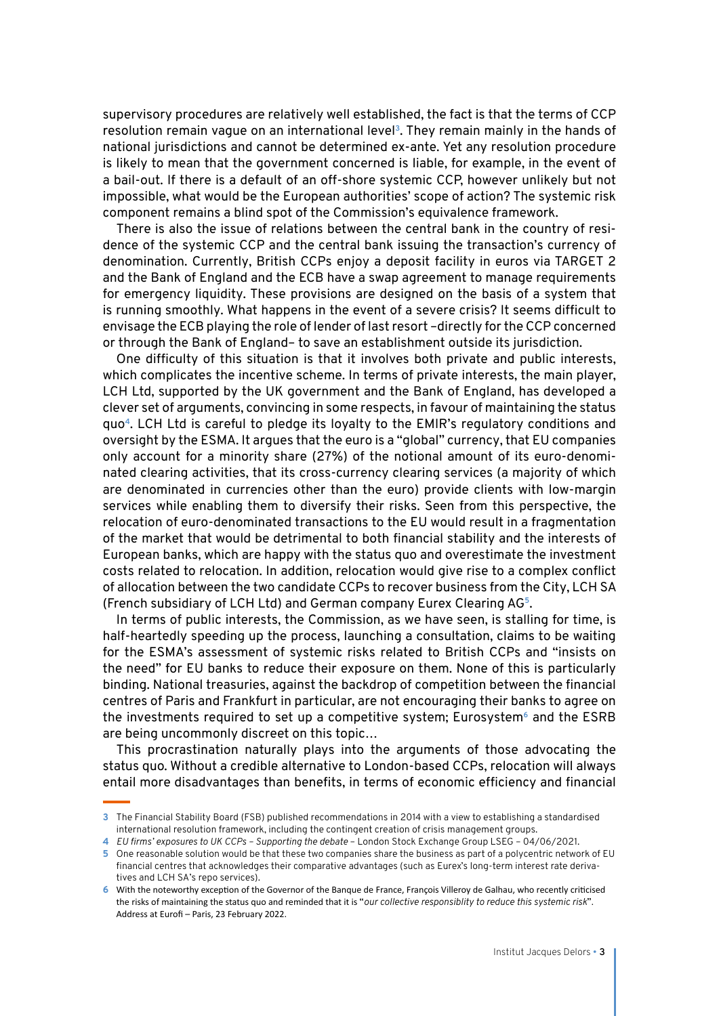supervisory procedures are relatively well established, the fact is that the terms of CCP resolution remain vague on an international level**<sup>3</sup>**. They remain mainly in the hands of national jurisdictions and cannot be determined ex-ante. Yet any resolution procedure is likely to mean that the government concerned is liable, for example, in the event of a bail-out. If there is a default of an off-shore systemic CCP, however unlikely but not impossible, what would be the European authorities' scope of action? The systemic risk component remains a blind spot of the Commission's equivalence framework.

There is also the issue of relations between the central bank in the country of residence of the systemic CCP and the central bank issuing the transaction's currency of denomination. Currently, British CCPs enjoy a deposit facility in euros via TARGET 2 and the Bank of England and the ECB have a swap agreement to manage requirements for emergency liquidity. These provisions are designed on the basis of a system that is running smoothly. What happens in the event of a severe crisis? It seems difficult to envisage the ECB playing the role of lender of last resort –directly for the CCP concerned or through the Bank of England– to save an establishment outside its jurisdiction.

One difficulty of this situation is that it involves both private and public interests, which complicates the incentive scheme. In terms of private interests, the main player, LCH Ltd, supported by the UK government and the Bank of England, has developed a clever set of arguments, convincing in some respects, in favour of maintaining the status quo**<sup>4</sup>**. LCH Ltd is careful to pledge its loyalty to the EMIR's regulatory conditions and oversight by the ESMA. It argues that the euro is a "global" currency, that EU companies only account for a minority share (27%) of the notional amount of its euro-denominated clearing activities, that its cross-currency clearing services (a majority of which are denominated in currencies other than the euro) provide clients with low-margin services while enabling them to diversify their risks. Seen from this perspective, the relocation of euro-denominated transactions to the EU would result in a fragmentation of the market that would be detrimental to both financial stability and the interests of European banks, which are happy with the status quo and overestimate the investment costs related to relocation. In addition, relocation would give rise to a complex conflict of allocation between the two candidate CCPs to recover business from the City, LCH SA (French subsidiary of LCH Ltd) and German company Eurex Clearing AG**<sup>5</sup>**.

In terms of public interests, the Commission, as we have seen, is stalling for time, is half-heartedly speeding up the process, launching a consultation, claims to be waiting for the ESMA's assessment of systemic risks related to British CCPs and "insists on the need" for EU banks to reduce their exposure on them. None of this is particularly binding. National treasuries, against the backdrop of competition between the financial centres of Paris and Frankfurt in particular, are not encouraging their banks to agree on the investments required to set up a competitive system; Eurosystem**<sup>6</sup>** and the ESRB are being uncommonly discreet on this topic…

This procrastination naturally plays into the arguments of those advocating the status quo. Without a credible alternative to London-based CCPs, relocation will always entail more disadvantages than benefits, in terms of economic efficiency and financial

**<sup>3</sup>** The Financial Stability Board (FSB) published recommendations in 2014 with a view to establishing a standardised international resolution framework, including the contingent creation of crisis management groups.

**<sup>4</sup>** *EU firms' exposures to UK CCPs – Supporting the debate* – London Stock Exchange Group LSEG – 04/06/2021.

**<sup>5</sup>** One reasonable solution would be that these two companies share the business as part of a polycentric network of EU financial centres that acknowledges their comparative advantages (such as Eurex's long-term interest rate derivatives and LCH SA's repo services).

**<sup>6</sup>** With the noteworthy exception of the Governor of the Banque de France, François Villeroy de Galhau, who recently criticised the risks of maintaining the status quo and reminded that it is "*our collective responsiblity to reduce this systemic risk*". Address at Eurofi – Paris, 23 February 2022.